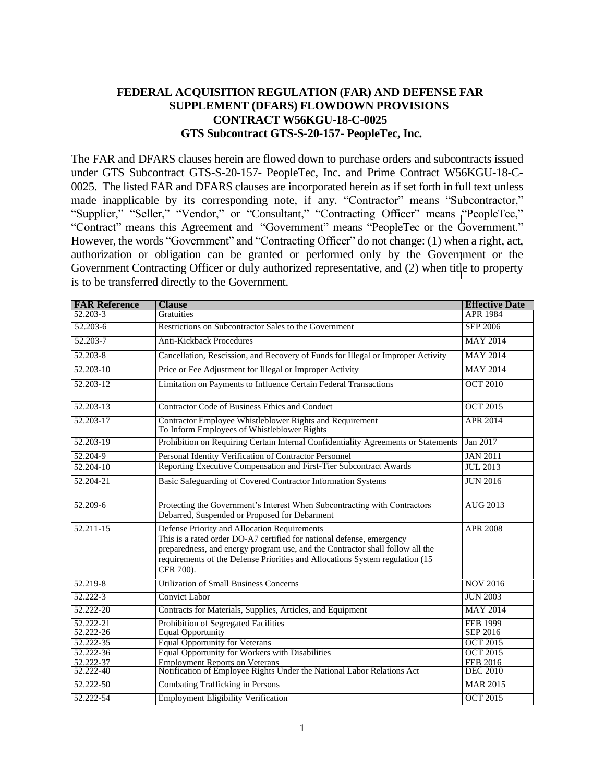## **FEDERAL ACQUISITION REGULATION (FAR) AND DEFENSE FAR SUPPLEMENT (DFARS) FLOWDOWN PROVISIONS CONTRACT W56KGU-18-C-0025 GTS Subcontract GTS-S-20-157- PeopleTec, Inc.**

The FAR and DFARS clauses herein are flowed down to purchase orders and subcontracts issued under GTS Subcontract GTS-S-20-157- PeopleTec, Inc. and Prime Contract W56KGU-18-C-0025. The listed FAR and DFARS clauses are incorporated herein as if set forth in full text unless made inapplicable by its corresponding note, if any. "Contractor" means "Subcontractor," "Supplier," "Seller," "Vendor," or "Consultant," "Contracting Officer" means "PeopleTec," "Contract" means this Agreement and "Government" means "PeopleTec or the Government." However, the words "Government" and "Contracting Officer" do not change: (1) when a right, act, authorization or obligation can be granted or performed only by the Government or the Government Contracting Officer or duly authorized representative, and (2) when title to property is to be transferred directly to the Government.

| <b>FAR Reference</b> | <b>Clause</b>                                                                                                                                                                                                                                                                                       | <b>Effective Date</b> |
|----------------------|-----------------------------------------------------------------------------------------------------------------------------------------------------------------------------------------------------------------------------------------------------------------------------------------------------|-----------------------|
| $52.203 - 3$         | <b>Gratuities</b>                                                                                                                                                                                                                                                                                   | <b>APR 1984</b>       |
| 52.203-6             | Restrictions on Subcontractor Sales to the Government                                                                                                                                                                                                                                               | <b>SEP 2006</b>       |
| 52.203-7             | <b>Anti-Kickback Procedures</b>                                                                                                                                                                                                                                                                     | <b>MAY 2014</b>       |
| 52.203-8             | Cancellation, Rescission, and Recovery of Funds for Illegal or Improper Activity                                                                                                                                                                                                                    | <b>MAY 2014</b>       |
| 52.203-10            | Price or Fee Adjustment for Illegal or Improper Activity                                                                                                                                                                                                                                            | <b>MAY 2014</b>       |
| 52.203-12            | Limitation on Payments to Influence Certain Federal Transactions                                                                                                                                                                                                                                    | <b>OCT 2010</b>       |
| 52.203-13            | Contractor Code of Business Ethics and Conduct                                                                                                                                                                                                                                                      | <b>OCT 2015</b>       |
| $52.203 - 17$        | Contractor Employee Whistleblower Rights and Requirement<br>To Inform Employees of Whistleblower Rights                                                                                                                                                                                             | APR 2014              |
| 52.203-19            | Prohibition on Requiring Certain Internal Confidentiality Agreements or Statements                                                                                                                                                                                                                  | Jan 2017              |
| 52.204-9             | Personal Identity Verification of Contractor Personnel                                                                                                                                                                                                                                              | <b>JAN 2011</b>       |
| 52.204-10            | Reporting Executive Compensation and First-Tier Subcontract Awards                                                                                                                                                                                                                                  | JUL 2013              |
| 52.204-21            | Basic Safeguarding of Covered Contractor Information Systems                                                                                                                                                                                                                                        | <b>JUN 2016</b>       |
| 52.209-6             | Protecting the Government's Interest When Subcontracting with Contractors<br>Debarred, Suspended or Proposed for Debarment                                                                                                                                                                          | AUG 2013              |
| 52.211-15            | Defense Priority and Allocation Requirements<br>This is a rated order DO-A7 certified for national defense, emergency<br>preparedness, and energy program use, and the Contractor shall follow all the<br>requirements of the Defense Priorities and Allocations System regulation (15<br>CFR 700). | <b>APR 2008</b>       |
| $52.219 - 8$         | <b>Utilization of Small Business Concerns</b>                                                                                                                                                                                                                                                       | <b>NOV 2016</b>       |
| 52.222-3             | <b>Convict Labor</b>                                                                                                                                                                                                                                                                                | <b>JUN 2003</b>       |
| 52.222-20            | Contracts for Materials, Supplies, Articles, and Equipment                                                                                                                                                                                                                                          | <b>MAY 2014</b>       |
| 52.222-21            | Prohibition of Segregated Facilities                                                                                                                                                                                                                                                                | <b>FEB 1999</b>       |
| 52.222-26            | <b>Equal Opportunity</b>                                                                                                                                                                                                                                                                            | SEP 2016              |
| 52.222-35            | <b>Equal Opportunity for Veterans</b>                                                                                                                                                                                                                                                               | <b>OCT 2015</b>       |
| 52.222-36            | <b>Equal Opportunity for Workers with Disabilities</b>                                                                                                                                                                                                                                              | <b>OCT 2015</b>       |
| 52.222-37            | <b>Employment Reports on Veterans</b>                                                                                                                                                                                                                                                               | <b>FEB 2016</b>       |
| 52.222-40            | Notification of Employee Rights Under the National Labor Relations Act                                                                                                                                                                                                                              | <b>DEC 2010</b>       |
| 52.222-50            | <b>Combating Trafficking in Persons</b>                                                                                                                                                                                                                                                             | <b>MAR 2015</b>       |
| 52.222-54            | <b>Employment Eligibility Verification</b>                                                                                                                                                                                                                                                          | <b>OCT 2015</b>       |